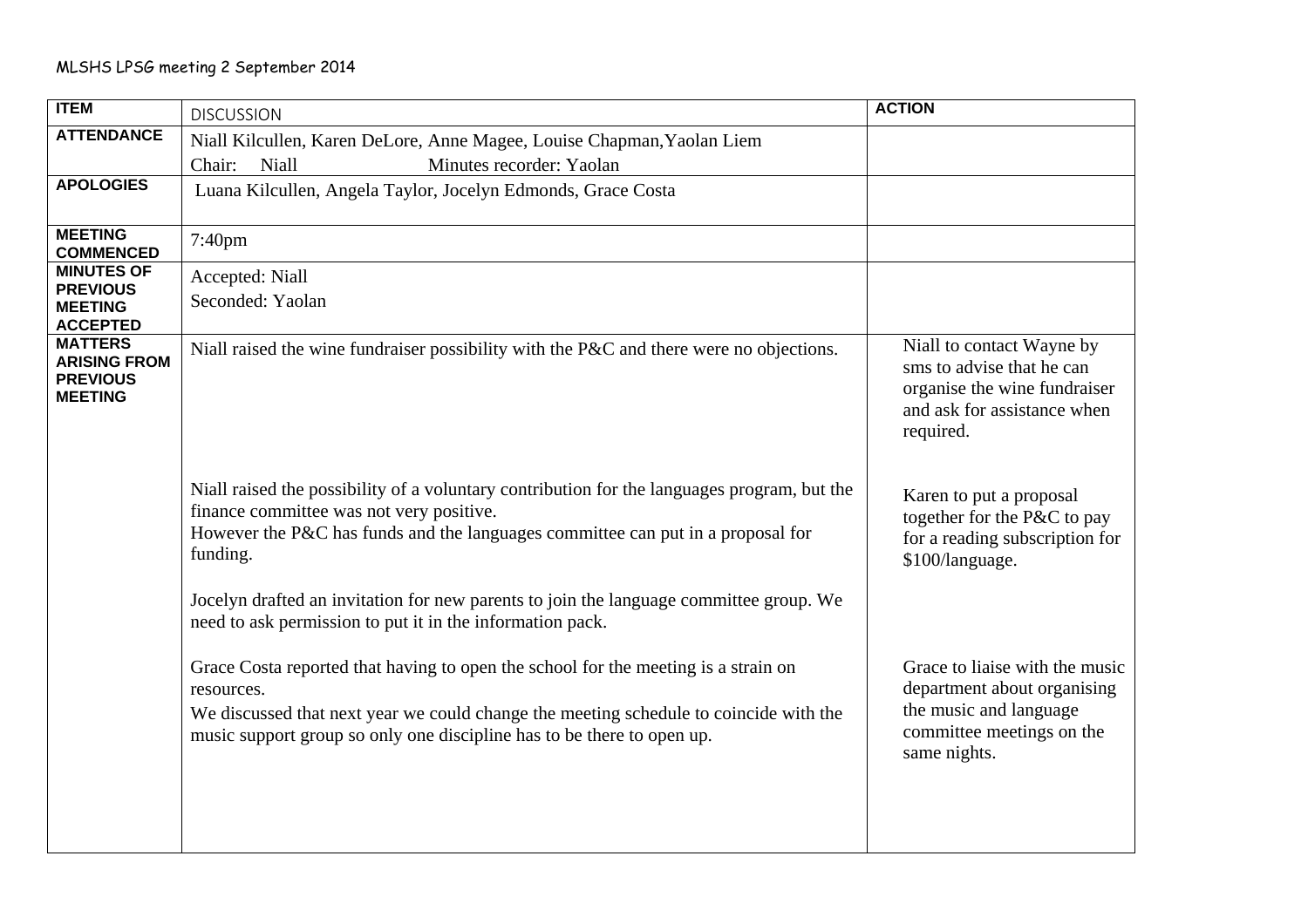| <b>ITEM</b>                                                                | <b>DISCUSSION</b>                                                                                                                                                                                                                                                   | <b>ACTION</b>                                                                                                                        |
|----------------------------------------------------------------------------|---------------------------------------------------------------------------------------------------------------------------------------------------------------------------------------------------------------------------------------------------------------------|--------------------------------------------------------------------------------------------------------------------------------------|
| <b>ATTENDANCE</b>                                                          | Niall Kilcullen, Karen DeLore, Anne Magee, Louise Chapman, Yaolan Liem                                                                                                                                                                                              |                                                                                                                                      |
|                                                                            | Niall<br>Minutes recorder: Yaolan<br>Chair:                                                                                                                                                                                                                         |                                                                                                                                      |
| <b>APOLOGIES</b>                                                           | Luana Kilcullen, Angela Taylor, Jocelyn Edmonds, Grace Costa                                                                                                                                                                                                        |                                                                                                                                      |
| <b>MEETING</b><br><b>COMMENCED</b>                                         | 7:40pm                                                                                                                                                                                                                                                              |                                                                                                                                      |
| <b>MINUTES OF</b><br><b>PREVIOUS</b><br><b>MEETING</b><br><b>ACCEPTED</b>  | Accepted: Niall<br>Seconded: Yaolan                                                                                                                                                                                                                                 |                                                                                                                                      |
| <b>MATTERS</b><br><b>ARISING FROM</b><br><b>PREVIOUS</b><br><b>MEETING</b> | Niall raised the wine fundraiser possibility with the P&C and there were no objections.                                                                                                                                                                             | Niall to contact Wayne by<br>sms to advise that he can<br>organise the wine fundraiser<br>and ask for assistance when<br>required.   |
|                                                                            | Niall raised the possibility of a voluntary contribution for the languages program, but the<br>finance committee was not very positive.<br>However the P&C has funds and the languages committee can put in a proposal for<br>funding.                              | Karen to put a proposal<br>together for the P&C to pay<br>for a reading subscription for<br>\$100/language.                          |
|                                                                            | Jocelyn drafted an invitation for new parents to join the language committee group. We<br>need to ask permission to put it in the information pack.                                                                                                                 |                                                                                                                                      |
|                                                                            | Grace Costa reported that having to open the school for the meeting is a strain on<br>resources.<br>We discussed that next year we could change the meeting schedule to coincide with the<br>music support group so only one discipline has to be there to open up. | Grace to liaise with the music<br>department about organising<br>the music and language<br>committee meetings on the<br>same nights. |